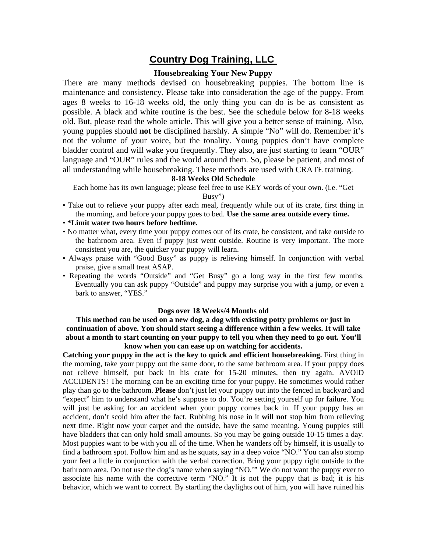# **Country Dog Training, LLC**

## **Housebreaking Your New Puppy**

There are many methods devised on housebreaking puppies. The bottom line is maintenance and consistency. Please take into consideration the age of the puppy. From ages 8 weeks to 16-18 weeks old, the only thing you can do is be as consistent as possible. A black and white routine is the best. See the schedule below for 8-18 weeks old. But, please read the whole article. This will give you a better sense of training. Also, young puppies should **not** be disciplined harshly. A simple "No" will do. Remember it's not the volume of your voice, but the tonality. Young puppies don't have complete bladder control and will wake you frequently. They also, are just starting to learn "OUR" language and "OUR" rules and the world around them. So, please be patient, and most of all understanding while housebreaking. These methods are used with CRATE training.

#### **8-18 Weeks Old Schedule**

Each home has its own language; please feel free to use KEY words of your own. (i.e. "Get Busy")

- Take out to relieve your puppy after each meal, frequently while out of its crate, first thing in the morning, and before your puppy goes to bed. **Use the same area outside every time.**
- **\*Limit water two hours before bedtime.**
- No matter what, every time your puppy comes out of its crate, be consistent, and take outside to the bathroom area. Even if puppy just went outside. Routine is very important. The more consistent you are, the quicker your puppy will learn.
- Always praise with "Good Busy" as puppy is relieving himself. In conjunction with verbal praise, give a small treat ASAP.
- Repeating the words "Outside" and "Get Busy" go a long way in the first few months. Eventually you can ask puppy "Outside" and puppy may surprise you with a jump, or even a bark to answer, "YES."

#### **Dogs over 18 Weeks/4 Months old**

### **This method can be used on a new dog, a dog with existing potty problems or just in continuation of above. You should start seeing a difference within a few weeks. It will take about a month to start counting on your puppy to tell you when they need to go out. You'll know when you can ease up on watching for accidents.**

**Catching your puppy in the act is the key to quick and efficient housebreaking.** First thing in the morning, take your puppy out the same door, to the same bathroom area. If your puppy does not relieve himself, put back in his crate for 15-20 minutes, then try again. AVOID ACCIDENTS! The morning can be an exciting time for your puppy. He sometimes would rather play than go to the bathroom. **Please** don't just let your puppy out into the fenced in backyard and "expect" him to understand what he's suppose to do. You're setting yourself up for failure. You will just be asking for an accident when your puppy comes back in. If your puppy has an accident, don't scold him after the fact. Rubbing his nose in it **will not** stop him from relieving next time. Right now your carpet and the outside, have the same meaning. Young puppies still have bladders that can only hold small amounts. So you may be going outside 10-15 times a day. Most puppies want to be with you all of the time. When he wanders off by himself, it is usually to find a bathroom spot. Follow him and as he squats, say in a deep voice "NO." You can also stomp your feet a little in conjunction with the verbal correction. Bring your puppy right outside to the bathroom area. Do not use the dog's name when saying "NO.'" We do not want the puppy ever to associate his name with the corrective term "NO." It is not the puppy that is bad; it is his behavior, which we want to correct. By startling the daylights out of him, you will have ruined his